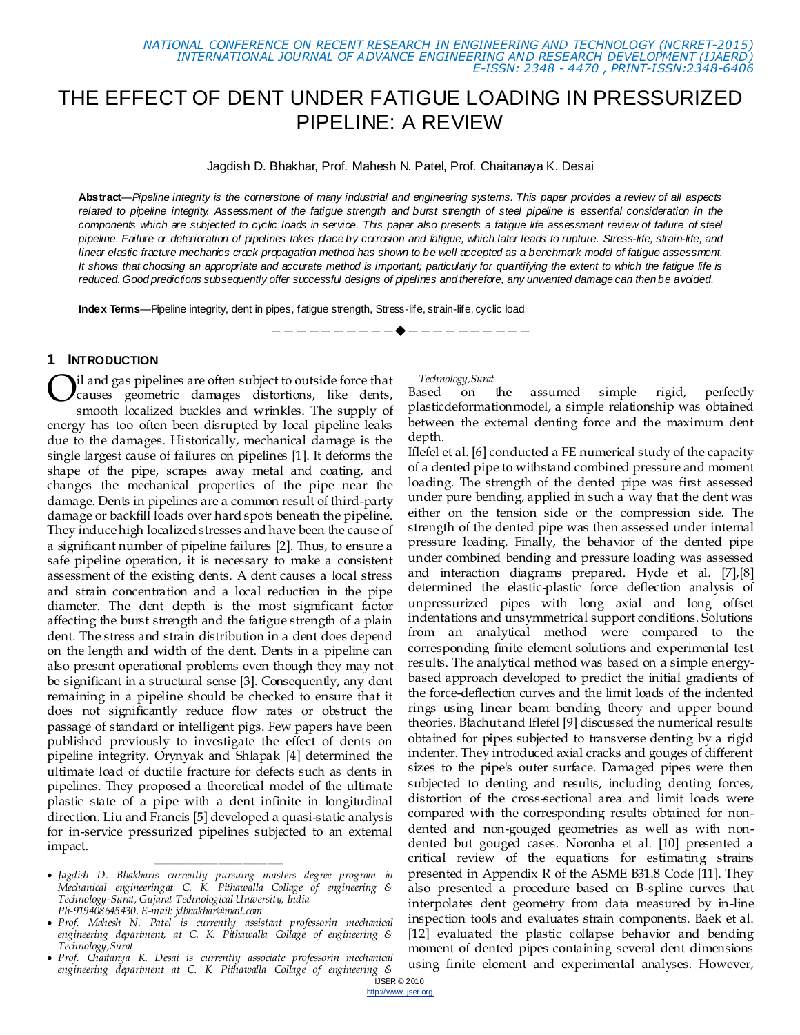# THE EFFECT OF DENT UNDER FATIGUE LOADING IN PRESSURIZED PIPELINE: A REVIEW

Jagdish D. Bhakhar, Prof. Mahesh N. Patel, Prof. Chaitanaya K. Desai

**Abstract**—*Pipeline integrity is the cornerstone of many industrial and engineering systems. This paper provides a review of all aspects related to pipeline integrity. Assessment of the fatigue strength and burst strength of steel pipeline is essential consideration in the components which are subjected to cyclic loads in service. This paper also presents a fatigue life assessment review of failure of steel pipeline. Failure or deterioration of pipelines takes place by corrosion and fatigue, which later leads to rupture. Stress-life, strain-life, and linear elastic fracture mechanics crack propagation method has shown to be well accepted as a benchmark model of fatigue assessment. It shows that choosing an appropriate and accurate method is important; particularly for quantifying the extent to which the fatigue life is reduced. Good predictions subsequently offer successful designs of pipelines and therefore, any unwanted damage can then be avoided.*

————————————————————

**Index Terms**—Pipeline integrity, dent in pipes, fatigue strength, Stress-life, strain-life, cyclic load

#### **1 INTRODUCTION**

il and gas pipelines are often subject to outside force that causes geometric damages distortions, like dents, smooth localized buckles and wrinkles. The supply of energy has too often been disrupted by local pipeline leaks due to the damages. Historically, mechanical damage is the single largest cause of failures on pipelines [1]. It deforms the shape of the pipe, scrapes away metal and coating, and changes the mechanical properties of the pipe near the damage. Dents in pipelines are a common result of third-party damage or backfill loads over hard spots beneath the pipeline. They induce high localized stresses and have been the cause of a significant number of pipeline failures [2]. Thus, to ensure a safe pipeline operation, it is necessary to make a consistent assessment of the existing dents. A dent causes a local stress and strain concentration and a local reduction in the pipe diameter. The dent depth is the most significant factor affecting the burst strength and the fatigue strength of a plain dent. The stress and strain distribution in a dent does depend on the length and width of the dent. Dents in a pipeline can also present operational problems even though they may not be significant in a structural sense [3]. Consequently, any dent remaining in a pipeline should be checked to ensure that it does not significantly reduce flow rates or obstruct the passage of standard or intelligent pigs. Few papers have been published previously to investigate the effect of dents on pipeline integrity. Orynyak and Shlapak [4] determined the ultimate load of ductile fracture for defects such as dents in pipelines. They proposed a theoretical model of the ultimate plastic state of a pipe with a dent infinite in longitudinal direction. Liu and Francis [5] developed a quasi-static analysis for in-service pressurized pipelines subjected to an external impact. O

 *Jagdish D. Bhakharis currently pursuing masters degree program in Mechanical engineeringat C. K. Pithawalla Collage of engineering & Technology-Surat, Gujarat Technological University, India Ph-919408645430. E-mail: jdbhakhar@mail.com*

*————————————————*

- *Prof. Mahesh N. Patel is currently assistant professorin mechanical engineering department, at C. K. Pithawalla Collage of engineering & Technology,Surat*
- *Prof. Chaitanya K. Desai is currently associate professorin mechanical engineering department at C. K. Pithawalla Collage of engineering &*

#### *Technology,Surat*

Based on the assumed simple rigid, perfectly plasticdeformationmodel, a simple relationship was obtained between the external denting force and the maximum dent depth.

Iflefel et al. [6] conducted a FE numerical study of the capacity of a dented pipe to withstand combined pressure and moment loading. The strength of the dented pipe was first assessed under pure bending, applied in such a way that the dent was either on the tension side or the compression side. The strength of the dented pipe was then assessed under internal pressure loading. Finally, the behavior of the dented pipe under combined bending and pressure loading was assessed and interaction diagrams prepared. Hyde et al. [7],[8] determined the elastic-plastic force deflection analysis of unpressurized pipes with long axial and long offset indentations and unsymmetrical support conditions. Solutions from an analytical method were compared to the corresponding finite element solutions and experimental test results. The analytical method was based on a simple energybased approach developed to predict the initial gradients of the force-deflection curves and the limit loads of the indented rings using linear beam bending theory and upper bound theories. Błachut and Iflefel [9] discussed the numerical results obtained for pipes subjected to transverse denting by a rigid indenter. They introduced axial cracks and gouges of different sizes to the pipe's outer surface. Damaged pipes were then subjected to denting and results, including denting forces, distortion of the cross-sectional area and limit loads were compared with the corresponding results obtained for nondented and non-gouged geometries as well as with nondented but gouged cases. Noronha et al. [10] presented a critical review of the equations for estimating strains presented in Appendix R of the ASME B31.8 Code [11]. They also presented a procedure based on B-spline curves that interpolates dent geometry from data measured by in-line inspection tools and evaluates strain components. Baek et al. [12] evaluated the plastic collapse behavior and bending moment of dented pipes containing several dent dimensions using finite element and experimental analyses. However,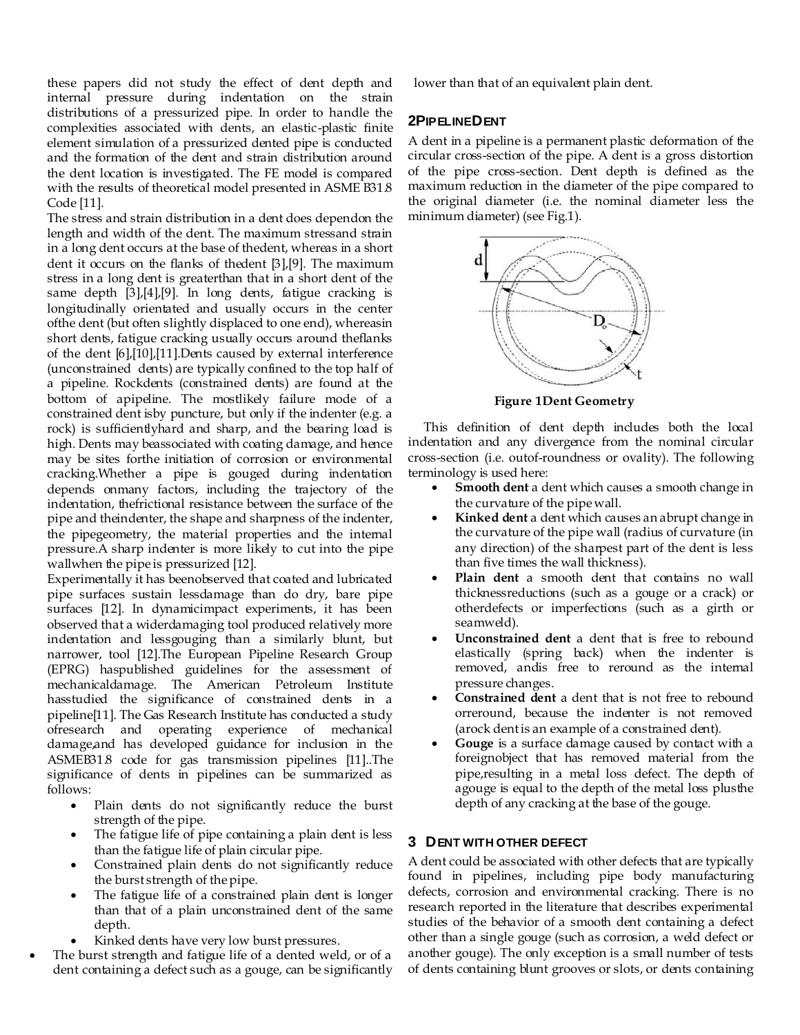these papers did not study the effect of dent depth and internal pressure during indentation on the strain distributions of a pressurized pipe. In order to handle the complexities associated with dents, an elastic-plastic finite element simulation of a pressurized dented pipe is conducted and the formation of the dent and strain distribution around the dent location is investigated. The FE model is compared with the results of theoretical model presented in ASME B31.8 Code [11].

The stress and strain distribution in a dent does dependon the length and width of the dent. The maximum stressand strain in a long dent occurs at the base of thedent, whereas in a short dent it occurs on the flanks of thedent [3],[9]. The maximum stress in a long dent is greaterthan that in a short dent of the same depth [3],[4],[9]. In long dents, fatigue cracking is longitudinally orientated and usually occurs in the center ofthe dent (but often slightly displaced to one end), whereasin short dents, fatigue cracking usually occurs around theflanks of the dent [6],[10],[11].Dents caused by external interference (unconstrained dents) are typically confined to the top half of a pipeline. Rockdents (constrained dents) are found at the bottom of apipeline. The mostlikely failure mode of a constrained dent isby puncture, but only if the indenter (e.g. a rock) is sufficientlyhard and sharp, and the bearing load is high. Dents may beassociated with coating damage, and hence may be sites forthe initiation of corrosion or environmental cracking.Whether a pipe is gouged during indentation depends onmany factors, including the trajectory of the indentation, thefrictional resistance between the surface of the pipe and theindenter, the shape and sharpness of the indenter, the pipegeometry, the material properties and the internal pressure.A sharp indenter is more likely to cut into the pipe wallwhen the pipe is pressurized [12].

Experimentally it has beenobserved that coated and lubricated pipe surfaces sustain lessdamage than do dry, bare pipe surfaces [12]. In dynamicimpact experiments, it has been observed that a widerdamaging tool produced relatively more indentation and lessgouging than a similarly blunt, but narrower, tool [12].The European Pipeline Research Group (EPRG) haspublished guidelines for the assessment of mechanicaldamage. The American Petroleum Institute hasstudied the significance of constrained dents in a pipeline[11]. The Gas Research Institute has conducted a study ofresearch and operating experience of mechanical damage,and has developed guidance for inclusion in the ASMEB31.8 code for gas transmission pipelines [11]..The significance of dents in pipelines can be summarized as follows:

- Plain dents do not significantly reduce the burst strength of the pipe.
- The fatigue life of pipe containing a plain dent is less than the fatigue life of plain circular pipe.
- Constrained plain dents do not significantly reduce the burst strength of the pipe.
- The fatigue life of a constrained plain dent is longer than that of a plain unconstrained dent of the same depth.
- Kinked dents have very low burst pressures.
- The burst strength and fatigue life of a dented weld, or of a dent containing a defect such as a gouge, can be significantly

lower than that of an equivalent plain dent.

# **2PIPELINEDENT**

A dent in a pipeline is a permanent plastic deformation of the circular cross-section of the pipe. A dent is a gross distortion of the pipe cross-section. Dent depth is defined as the maximum reduction in the diameter of the pipe compared to the original diameter (i.e. the nominal diameter less the minimum diameter) (see Fig.1).



**Figure 1Dent Geometry**

This definition of dent depth includes both the local indentation and any divergence from the nominal circular cross-section (i.e. outof-roundness or ovality). The following terminology is used here:

- **Smooth dent** a dent which causes a smooth change in the curvature of the pipe wall.
- **Kinked dent** a dent which causes an abrupt change in the curvature of the pipe wall (radius of curvature (in any direction) of the sharpest part of the dent is less than five times the wall thickness).
- **Plain dent** a smooth dent that contains no wall thicknessreductions (such as a gouge or a crack) or otherdefects or imperfections (such as a girth or seamweld).
- **Unconstrained dent** a dent that is free to rebound elastically (spring back) when the indenter is removed, andis free to reround as the internal pressure changes.
- **Constrained dent** a dent that is not free to rebound orreround, because the indenter is not removed (arock dent is an example of a constrained dent).
- **Gouge** is a surface damage caused by contact with a foreignobject that has removed material from the pipe,resulting in a metal loss defect. The depth of agouge is equal to the depth of the metal loss plusthe depth of any cracking at the base of the gouge.

# **3 DENT WITH OTHER DEFECT**

A dent could be associated with other defects that are typically found in pipelines, including pipe body manufacturing defects, corrosion and environmental cracking. There is no research reported in the literature that describes experimental studies of the behavior of a smooth dent containing a defect other than a single gouge (such as corrosion, a weld defect or another gouge). The only exception is a small number of tests of dents containing blunt grooves or slots, or dents containing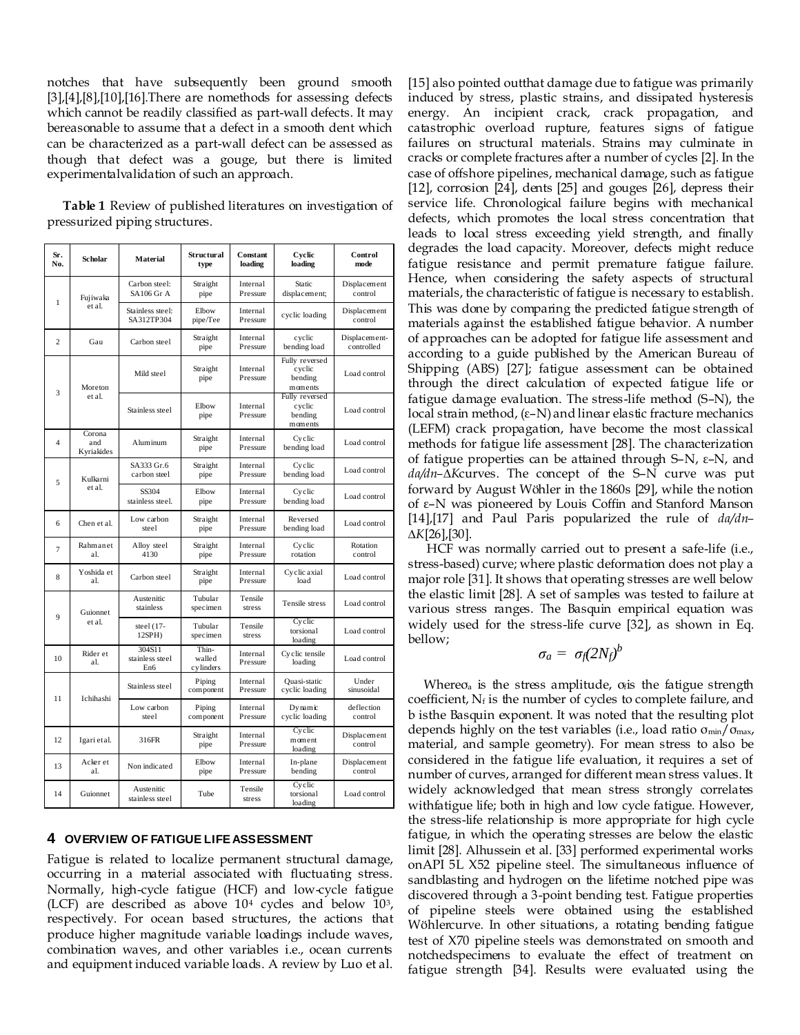notches that have subsequently been ground smooth [3],[4],[8],[10],[16].There are nomethods for assessing defects which cannot be readily classified as part-wall defects. It may bereasonable to assume that a defect in a smooth dent which can be characterized as a part-wall defect can be assessed as though that defect was a gouge, but there is limited experimentalvalidation of such an approach.

**Table 1** Review of published literatures on investigation of pressurized piping structures.

| Sr.<br>No.     | <b>Scholar</b>              | <b>Material</b>                    | Structural<br>type            | Constant<br>loading  | Cyclic<br>loading                              | Control<br>mode             |
|----------------|-----------------------------|------------------------------------|-------------------------------|----------------------|------------------------------------------------|-----------------------------|
| 1              | Fujiwaka<br>et al.          | Carbon steel:<br><b>SA106 Gr A</b> | Straight<br>pipe              | Internal<br>Pressure | Static<br>displacement;                        | Displacement<br>control     |
|                |                             | Stainless steel:<br>SA312TP304     | Elbow<br>pipe/Tee             | Internal<br>Pressure | cyclic loading                                 | Displacement<br>control     |
| $\overline{c}$ | Gau                         | Carbon steel                       | Straight<br>pipe              | Internal<br>Pressure | cyclic<br>bending load                         | Displacement-<br>controlled |
| 3              | Moreton<br>et al.           | Mild steel                         | Straight<br>pipe              | Internal<br>Pressure | Fully reversed<br>cyclic<br>bending<br>moments | Load control                |
|                |                             | Stainless steel                    | Elbow<br>pipe                 | Internal<br>Pressure | Fully reversed<br>cyclic<br>bending<br>moments | Load control                |
| $\overline{4}$ | Corona<br>and<br>Kyriakides | Aluminum                           | Straight<br>pipe              | Internal<br>Pressure | Cyclic<br>bending load                         | Load control                |
| 5              | Kulkarni<br>et al.          | SA333 Gr.6<br>carbon steel         | Straight<br>pipe              | Internal<br>Pressure | Cyclic<br>bending load                         | Load control                |
|                |                             | SS304<br>stainless steel.          | Elbow<br>pipe                 | Internal<br>Pressure | Cyclic<br>bending load                         | Load control                |
| 6              | Chen et al.                 | Low carbon<br>steel                | Straight<br>pipe              | Internal<br>Pressure | Reversed<br>bending load                       | Load control                |
| $\overline{7}$ | Rahmanet<br>al.             | Alloy steel<br>4130                | Straight<br>pipe              | Internal<br>Pressure | Cyclic<br>rotation                             | Rotation<br>control         |
| 8              | Yoshida et<br>al.           | Carbon steel                       | Straight<br>pipe              | Internal<br>Pressure | Cyclic axial<br>load                           | Load control                |
| $\mathbf{Q}$   | Guionnet<br>et al.          | Austenitic<br>stainless            | Tubular<br>specimen           | Tensile<br>stress    | Tensile stress                                 | Load control                |
|                |                             | steel (17-<br>$12SPH$ )            | Tubular<br>specimen           | Tensile<br>stress    | Cyclic<br>torsional<br>loading                 | Load control                |
| 10             | Rider et<br>al.             | 304S11<br>stainless steel<br>En6   | Thin-<br>walled<br>cy linders | Internal<br>Pressure | Cyclic tensile<br>loading                      | Load control                |
| 11             | Ichihashi                   | Stainless steel                    | Piping<br>component           | Internal<br>Pressure | Quasi-static<br>cyclic loading                 | Under<br>sinusoidal         |
|                |                             | Low carbon<br>steel                | Piping<br>component           | Internal<br>Pressure | $Dv$ mamic<br>cyclic loading                   | deflection<br>control       |
| 12             | Igari etal.                 | 316FR                              | Straight<br>pipe              | Internal<br>Pressure | Cyclic<br>moment<br>loading                    | Displacement<br>control     |
| 13             | Acker et<br>al.             | Non indicated                      | Elbow<br>pipe                 | Internal<br>Pressure | In-plane<br>bending                            | Displacement<br>control     |
| 14             | Guionnet                    | Austenitic<br>stainless steel      | Tube                          | Tensile<br>stress    | Cyclic<br>torsional<br>loading                 | Load control                |

### **4 OVERVIEW OF FATIGUE LIFE ASSESSMENT**

Fatigue is related to localize permanent structural damage, occurring in a material associated with fluctuating stress. Normally, high-cycle fatigue (HCF) and low-cycle fatigue (LCF) are described as above 10<sup>4</sup> cycles and below 103, respectively. For ocean based structures, the actions that produce higher magnitude variable loadings include waves, combination waves, and other variables i.e., ocean currents and equipment induced variable loads. A review by Luo et al. [15] also pointed outthat damage due to fatigue was primarily induced by stress, plastic strains, and dissipated hysteresis energy. An incipient crack, crack propagation, and catastrophic overload rupture, features signs of fatigue failures on structural materials. Strains may culminate in cracks or complete fractures after a number of cycles [2]. In the case of offshore pipelines, mechanical damage, such as fatigue [12], corrosion [24], dents [25] and gouges [26], depress their service life. Chronological failure begins with mechanical defects, which promotes the local stress concentration that leads to local stress exceeding yield strength, and finally degrades the load capacity. Moreover, defects might reduce fatigue resistance and permit premature fatigue failure. Hence, when considering the safety aspects of structural materials, the characteristic of fatigue is necessary to establish. This was done by comparing the predicted fatigue strength of materials against the established fatigue behavior. A number of approaches can be adopted for fatigue life assessment and according to a guide published by the American Bureau of Shipping (ABS) [27]; fatigue assessment can be obtained through the direct calculation of expected fatigue life or fatigue damage evaluation. The stress-life method (S–N), the local strain method, (ε–N) and linear elastic fracture mechanics (LEFM) crack propagation, have become the most classical methods for fatigue life assessment [28]. The characterization of fatigue properties can be attained through S–N, ε–N, and *da/dn–∆K*curves. The concept of the S–N curve was put forward by August Wöhler in the 1860s [29], while the notion of ε–N was pioneered by Louis Coffin and Stanford Manson [14],[17] and Paul Paris popularized the rule of *da/dn– ∆K*[26],[30].

HCF was normally carried out to present a safe-life (i.e., stress-based) curve; where plastic deformation does not play a major role [31]. It shows that operating stresses are well below the elastic limit [28]. A set of samples was tested to failure at various stress ranges. The Basquin empirical equation was widely used for the stress-life curve [32], as shown in Eq. bellow;

$$
\sigma_a = \sigma_f (2N_f)^b
$$

Where $\sigma$ <sub>a</sub> is the stress amplitude,  $\sigma$ <sub>i</sub> is the fatigue strength coefficient,  $N_f$  is the number of cycles to complete failure, and b isthe Basquin exponent. It was noted that the resulting plot depends highly on the test variables (i.e., load ratio  $\sigma_{min}/\sigma_{max}$ , material, and sample geometry). For mean stress to also be considered in the fatigue life evaluation, it requires a set of number of curves, arranged for different mean stress values. It widely acknowledged that mean stress strongly correlates withfatigue life; both in high and low cycle fatigue. However, the stress-life relationship is more appropriate for high cycle fatigue, in which the operating stresses are below the elastic limit [28]. Alhussein et al. [33] performed experimental works onAPI 5L X52 pipeline steel. The simultaneous influence of sandblasting and hydrogen on the lifetime notched pipe was discovered through a 3-point bending test. Fatigue properties of pipeline steels were obtained using the established Wöhlercurve. In other situations, a rotating bending fatigue test of X70 pipeline steels was demonstrated on smooth and notchedspecimens to evaluate the effect of treatment on fatigue strength [34]. Results were evaluated using the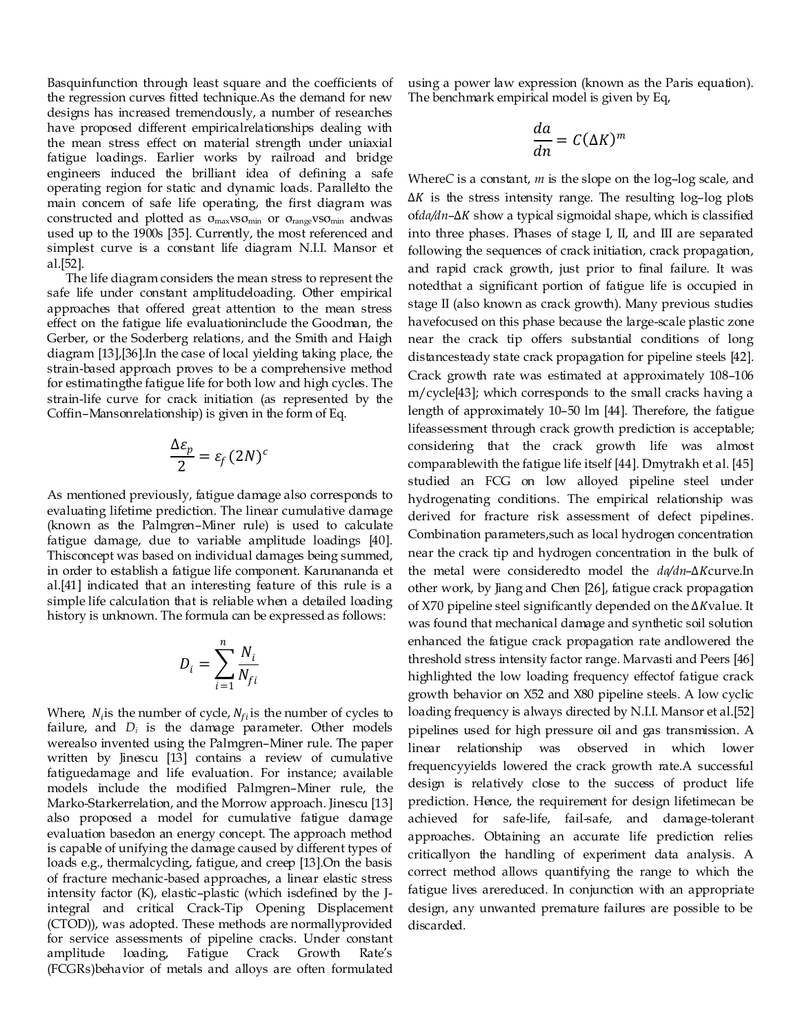Basquinfunction through least square and the coefficients of the regression curves fitted technique.As the demand for new designs has increased tremendously, a number of researches have proposed different empiricalrelationships dealing with the mean stress effect on material strength under uniaxial fatigue loadings. Earlier works by railroad and bridge engineers induced the brilliant idea of defining a safe operating region for static and dynamic loads. Parallelto the main concern of safe life operating, the first diagram was constructed and plotted as σmaxvsσmin or σrangevsσmin andwas used up to the 1900s [35]. Currently, the most referenced and simplest curve is a constant life diagram N.I.I. Mansor et al.[52].

The life diagram considers the mean stress to represent the safe life under constant amplitudeloading. Other empirical approaches that offered great attention to the mean stress effect on the fatigue life evaluationinclude the Goodman, the Gerber, or the Soderberg relations, and the Smith and Haigh diagram [13],[36].In the case of local yielding taking place, the strain-based approach proves to be a comprehensive method for estimatingthe fatigue life for both low and high cycles. The strain-life curve for crack initiation (as represented by the Coffin–Mansonrelationship) is given in the form of Eq.

$$
\frac{\Delta \varepsilon_p}{2} = \varepsilon_f (2N)^c
$$

As mentioned previously, fatigue damage also corresponds to evaluating lifetime prediction. The linear cumulative damage (known as the Palmgren–Miner rule) is used to calculate fatigue damage, due to variable amplitude loadings [40]. Thisconcept was based on individual damages being summed, in order to establish a fatigue life component. Karunananda et al.[41] indicated that an interesting feature of this rule is a simple life calculation that is reliable when a detailed loading history is unknown. The formula can be expressed as follows:

$$
D_i = \sum_{i=1}^n \frac{N_i}{N_{fi}}
$$

Where,  $N_i$  is the number of cycle,  $N_{fi}$  is the number of cycles to failure, and  $D_i$  is the damage parameter. Other models werealso invented using the Palmgren–Miner rule. The paper written by Jinescu [13] contains a review of cumulative fatiguedamage and life evaluation. For instance; available models include the modified Palmgren–Miner rule, the Marko-Starkerrelation, and the Morrow approach. Jinescu [13] also proposed a model for cumulative fatigue damage evaluation basedon an energy concept. The approach method is capable of unifying the damage caused by different types of loads e.g., thermalcycling, fatigue, and creep [13].On the basis of fracture mechanic-based approaches, a linear elastic stress intensity factor (K), elastic–plastic (which isdefined by the Jintegral and critical Crack-Tip Opening Displacement (CTOD)), was adopted. These methods are normallyprovided for service assessments of pipeline cracks. Under constant amplitude loading, Fatigue Crack Growth Rate's (FCGRs)behavior of metals and alloys are often formulated using a power law expression (known as the Paris equation). The benchmark empirical model is given by Eq,

$$
\frac{da}{dn} = C(\Delta K)^m
$$

Where*C* is a constant, *m* is the slope on the log–log scale, and  $\Delta K$  is the stress intensity range. The resulting log-log plots of*da/dn*–∆*K* show a typical sigmoidal shape, which is classified into three phases. Phases of stage I, II, and III are separated following the sequences of crack initiation, crack propagation, and rapid crack growth, just prior to final failure. It was notedthat a significant portion of fatigue life is occupied in stage II (also known as crack growth). Many previous studies havefocused on this phase because the large-scale plastic zone near the crack tip offers substantial conditions of long distancesteady state crack propagation for pipeline steels [42]. Crack growth rate was estimated at approximately 108–106 m/cycle[43]; which corresponds to the small cracks having a length of approximately 10–50 lm [44]. Therefore, the fatigue lifeassessment through crack growth prediction is acceptable; considering that the crack growth life was almost comparablewith the fatigue life itself [44]. Dmytrakh et al. [45] studied an FCG on low alloyed pipeline steel under hydrogenating conditions. The empirical relationship was derived for fracture risk assessment of defect pipelines. Combination parameters,such as local hydrogen concentration near the crack tip and hydrogen concentration in the bulk of the metal were consideredto model the *da/dn*-∆Kcurve.In other work, by Jiang and Chen [26], fatigue crack propagation of X70 pipeline steel significantly depended on the ∆Kvalue. It was found that mechanical damage and synthetic soil solution enhanced the fatigue crack propagation rate andlowered the threshold stress intensity factor range. Marvasti and Peers [46] highlighted the low loading frequency effectof fatigue crack growth behavior on X52 and X80 pipeline steels. A low cyclic loading frequency is always directed by N.I.I. Mansor et al.[52] pipelines used for high pressure oil and gas transmission. A linear relationship was observed in which lower frequencyyields lowered the crack growth rate.A successful design is relatively close to the success of product life prediction. Hence, the requirement for design lifetimecan be achieved for safe-life, fail-safe, and damage-tolerant approaches. Obtaining an accurate life prediction relies criticallyon the handling of experiment data analysis. A correct method allows quantifying the range to which the fatigue lives arereduced. In conjunction with an appropriate design, any unwanted premature failures are possible to be discarded.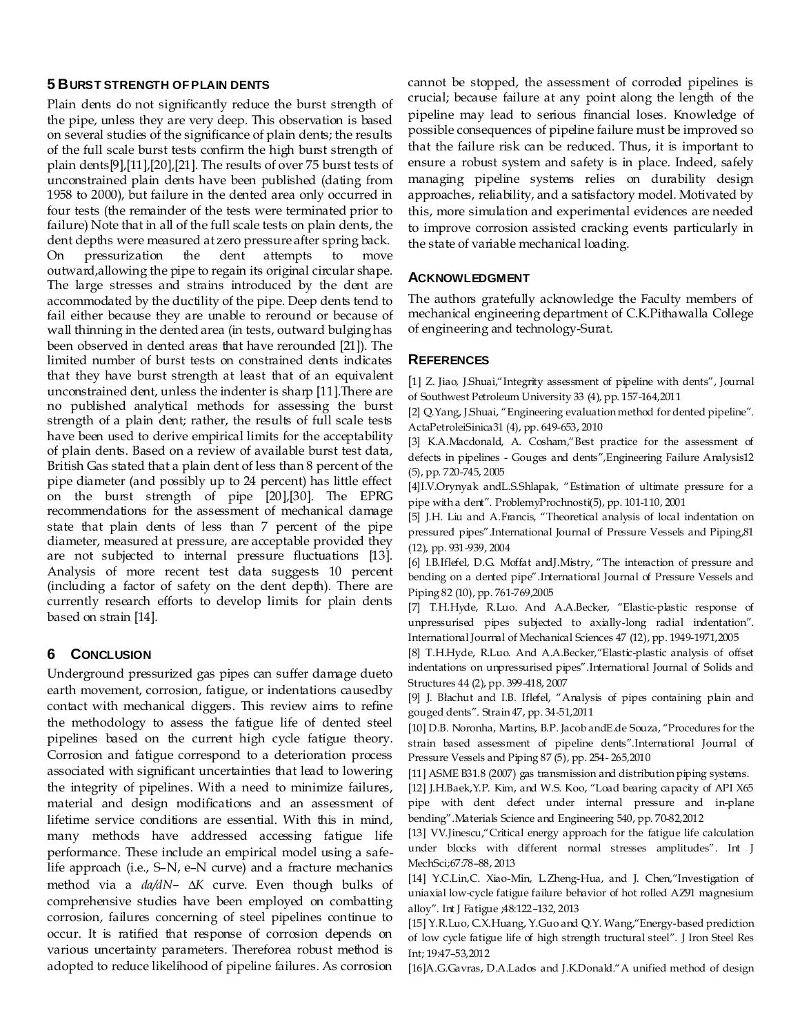#### **5 BURST STRENGTH OF PLAIN DENTS**

Plain dents do not significantly reduce the burst strength of the pipe, unless they are very deep. This observation is based on several studies of the significance of plain dents; the results of the full scale burst tests confirm the high burst strength of plain dents[9],[11],[20],[21]. The results of over 75 burst tests of unconstrained plain dents have been published (dating from 1958 to 2000), but failure in the dented area only occurred in four tests (the remainder of the tests were terminated prior to failure) Note that in all of the full scale tests on plain dents, the dent depths were measured at zero pressure after spring back. On pressurization the dent attempts to move outward,allowing the pipe to regain its original circular shape. The large stresses and strains introduced by the dent are accommodated by the ductility of the pipe. Deep dents tend to fail either because they are unable to reround or because of wall thinning in the dented area (in tests, outward bulging has been observed in dented areas that have rerounded [21]). The limited number of burst tests on constrained dents indicates that they have burst strength at least that of an equivalent unconstrained dent, unless the indenter is sharp [11].There are no published analytical methods for assessing the burst strength of a plain dent; rather, the results of full scale tests have been used to derive empirical limits for the acceptability of plain dents. Based on a review of available burst test data, British Gas stated that a plain dent of less than 8 percent of the pipe diameter (and possibly up to 24 percent) has little effect on the burst strength of pipe [20],[30]. The EPRG recommendations for the assessment of mechanical damage state that plain dents of less than 7 percent of the pipe diameter, measured at pressure, are acceptable provided they are not subjected to internal pressure fluctuations [13]. Analysis of more recent test data suggests 10 percent (including a factor of safety on the dent depth). There are currently research efforts to develop limits for plain dents based on strain [14].

### **6 CONCLUSION**

Underground pressurized gas pipes can suffer damage dueto earth movement, corrosion, fatigue, or indentations causedby contact with mechanical diggers. This review aims to refine the methodology to assess the fatigue life of dented steel pipelines based on the current high cycle fatigue theory. Corrosion and fatigue correspond to a deterioration process associated with significant uncertainties that lead to lowering the integrity of pipelines. With a need to minimize failures, material and design modifications and an assessment of lifetime service conditions are essential. With this in mind, many methods have addressed accessing fatigue life performance. These include an empirical model using a safelife approach (i.e., S–N, e–N curve) and a fracture mechanics method via a *da/dN– ∆K* curve. Even though bulks of comprehensive studies have been employed on combatting corrosion, failures concerning of steel pipelines continue to occur. It is ratified that response of corrosion depends on various uncertainty parameters. Thereforea robust method is adopted to reduce likelihood of pipeline failures. As corrosion

cannot be stopped, the assessment of corroded pipelines is crucial; because failure at any point along the length of the pipeline may lead to serious financial loses. Knowledge of possible consequences of pipeline failure must be improved so that the failure risk can be reduced. Thus, it is important to ensure a robust system and safety is in place. Indeed, safely managing pipeline systems relies on durability design approaches, reliability, and a satisfactory model. Motivated by this, more simulation and experimental evidences are needed to improve corrosion assisted cracking events particularly in the state of variable mechanical loading.

#### **ACKNOWLEDGMENT**

The authors gratefully acknowledge the Faculty members of mechanical engineering department of C.K.Pithawalla College of engineering and technology-Surat.

#### **REFERENCES**

[1] Z. Jiao, J.Shuai,"Integrity assessment of pipeline with dents", Journal of Southwest Petroleum University 33 (4), pp. 157-164,2011

[2] Q.Yang, J.Shuai, "Engineering evaluation method for dented pipeline". ActaPetroleiSinica31 (4), pp. 649-653, 2010

[3] K.A.Macdonald, A. Cosham,"Best practice for the assessment of defects in pipelines - Gouges and dents", Engineering Failure Analysis12 (5), pp. 720-745, 2005

[4]I.V.Orynyak andL.S.Shlapak, "Estimation of ultimate pressure for a pipe with a dent". ProblemyProchnosti(5), pp. 101-110, 2001

[5] J.H. Liu and A.Francis, "Theoretical analysis of local indentation on pressured pipes".International Journal of Pressure Vessels and Piping,81 (12), pp. 931-939, 2004

[6] I.B.Iflefel, D.G. Moffat and J.Mistry, "The interaction of pressure and bending on a dented pipe".International Journal of Pressure Vessels and Piping 82 (10), pp. 761-769,2005

[7] T.H.Hyde, R.Luo. And A.A.Becker, "Elastic-plastic response of unpressurised pipes subjected to axially-long radial indentation". International Journal of Mechanical Sciences 47 (12), pp. 1949-1971,2005

[8] T.H.Hyde, R.Luo. And A.A.Becker, "Elastic-plastic analysis of offset indentations on unpressurised pipes".International Journal of Solids and Structures 44 (2), pp. 399-418, 2007

[9] J. Błachut and I.B. Iflefel, "Analysis of pipes containing plain and gouged dents‖. Strain 47, pp. 34-51,2011

[10] D.B. Noronha, Martins, B.P. Jacob and E.de Souza, "Procedures for the strain based assessment of pipeline dents".International Journal of Pressure Vessels and Piping 87 (5), pp. 254- 265,2010

[11] ASME B31.8 (2007) gas transmission and distribution piping systems. [12] J.H.Baek, Y.P. Kim, and W.S. Koo, "Load bearing capacity of API X65 pipe with dent defect under internal pressure and in-plane

bending".Materials Science and Engineering 540, pp. 70-82,2012

[13] VV.Jinescu," Critical energy approach for the fatigue life calculation under blocks with different normal stresses amplitudes". Int J MechSci;67:78–88, 2013

[14] Y.C.Lin,C. Xiao-Min, L.Zheng-Hua, and J. Chen,"Investigation of uniaxial low-cycle fatigue failure behavior of hot rolled AZ91 magnesium alloy‖. Int J Fatigue ;48:122–132, 2013

[15] Y.R.Luo, C.X.Huang, Y.Guo and Q.Y. Wang, "Energy-based prediction of low cycle fatigue life of high strength tructural steel". J Iron Steel Res Int; 19:47–53,2012

[16]A.G.Gavras, D.A.Lados and J.K.Donald." A unified method of design